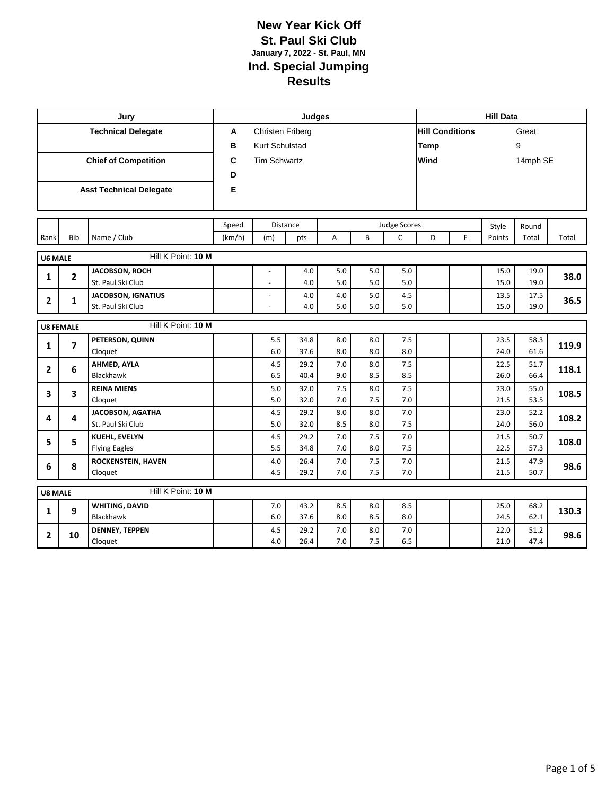|                           |                  | Jury                                                            |        |                          | <b>Judges</b> |            |            |              |                        |   | <b>Hill Data</b> |              |       |
|---------------------------|------------------|-----------------------------------------------------------------|--------|--------------------------|---------------|------------|------------|--------------|------------------------|---|------------------|--------------|-------|
| <b>Technical Delegate</b> |                  |                                                                 | A      | Christen Friberg         |               |            |            |              | <b>Hill Conditions</b> |   | Great            |              |       |
|                           |                  |                                                                 | в      | Kurt Schulstad           |               |            |            |              | Temp                   |   |                  |              |       |
|                           |                  | <b>Chief of Competition</b><br>C<br><b>Tim Schwartz</b><br>Wind |        |                          |               |            | 14mph SE   |              |                        |   |                  |              |       |
|                           |                  |                                                                 | D      |                          |               |            |            |              |                        |   |                  |              |       |
|                           |                  | <b>Asst Technical Delegate</b>                                  | E      |                          |               |            |            |              |                        |   |                  |              |       |
|                           |                  |                                                                 |        |                          |               |            |            |              |                        |   |                  |              |       |
|                           |                  |                                                                 |        |                          |               |            |            |              |                        |   |                  |              |       |
|                           |                  |                                                                 | Speed  |                          | Distance      |            |            | Judge Scores |                        |   | Style            | Round        |       |
| Rank                      | Bib              | Name / Club                                                     | (km/h) | (m)                      | pts           | Α          | B          | $\mathsf{C}$ | D                      | E | Points           | Total        | Total |
| <b>U6 MALE</b>            |                  | Hill K Point: 10 M                                              |        |                          |               |            |            |              |                        |   |                  |              |       |
|                           |                  | JACOBSON, ROCH                                                  |        |                          | 4.0           | 5.0        | 5.0        | 5.0          |                        |   | 15.0             | 19.0         |       |
| 1                         | $\mathbf{2}$     | St. Paul Ski Club                                               |        | $\overline{\phantom{a}}$ | 4.0           | 5.0        | 5.0        | 5.0          |                        |   | 15.0             | 19.0         | 38.0  |
|                           |                  | <b>JACOBSON, IGNATIUS</b>                                       |        |                          | 4.0           | 4.0        | 5.0        | 4.5          |                        |   | 13.5             | 17.5         |       |
| $\overline{2}$            | $\mathbf{1}$     | St. Paul Ski Club                                               |        |                          | 4.0           | 5.0        | 5.0        | 5.0          |                        |   | 15.0             | 19.0         | 36.5  |
|                           |                  | Hill K Point: 10 M                                              |        |                          |               |            |            |              |                        |   |                  |              |       |
|                           | <b>U8 FEMALE</b> |                                                                 |        |                          |               |            |            |              |                        |   |                  |              |       |
| 1                         | 7                | PETERSON, QUINN                                                 |        | 5.5                      | 34.8          | 8.0        | 8.0        | 7.5          |                        |   | 23.5             | 58.3         | 119.9 |
|                           |                  | Cloquet                                                         |        | 6.0                      | 37.6          | 8.0        | 8.0        | 8.0          |                        |   | 24.0             | 61.6         |       |
| $\overline{2}$            | 6                | AHMED, AYLA<br>Blackhawk                                        |        | 4.5<br>6.5               | 29.2<br>40.4  | 7.0<br>9.0 | 8.0<br>8.5 | 7.5<br>8.5   |                        |   | 22.5<br>26.0     | 51.7<br>66.4 | 118.1 |
|                           |                  | <b>REINA MIENS</b>                                              |        | 5.0                      | 32.0          | 7.5        | 8.0        | 7.5          |                        |   | 23.0             | 55.0         |       |
| 3                         | 3                | Cloquet                                                         |        | 5.0                      | 32.0          | 7.0        | 7.5        | 7.0          |                        |   | 21.5             | 53.5         | 108.5 |
|                           |                  | JACOBSON, AGATHA                                                |        | 4.5                      | 29.2          | 8.0        | 8.0        | $7.0$        |                        |   | 23.0             | 52.2         |       |
| 4                         | 4                | St. Paul Ski Club                                               |        | 5.0                      | 32.0          | 8.5        | 8.0        | 7.5          |                        |   | 24.0             | 56.0         | 108.2 |
|                           |                  | <b>KUEHL, EVELYN</b>                                            |        | 4.5                      | 29.2          | 7.0        | 7.5        | 7.0          |                        |   | 21.5             | 50.7         |       |
| 5                         | 5                | <b>Flying Eagles</b>                                            |        | 5.5                      | 34.8          | 7.0        | 8.0        | 7.5          |                        |   | 22.5             | 57.3         | 108.0 |
|                           |                  | ROCKENSTEIN, HAVEN                                              |        | 4.0                      | 26.4          | $7.0$      | 7.5        | $7.0\,$      |                        |   | 21.5             | 47.9         |       |
| 6                         | 8                | Cloquet                                                         |        | 4.5                      | 29.2          | 7.0        | 7.5        | 7.0          |                        |   | 21.5             | 50.7         | 98.6  |
| <b>U8 MALE</b>            |                  | Hill K Point: 10 M                                              |        |                          |               |            |            |              |                        |   |                  |              |       |
|                           |                  | <b>WHITING, DAVID</b>                                           |        | 7.0                      | 43.2          | 8.5        | 8.0        | 8.5          |                        |   | 25.0             | 68.2         |       |
| 1                         | 9                | Blackhawk                                                       |        | 6.0                      | 37.6          | 8.0        | 8.5        | 8.0          |                        |   | 24.5             | 62.1         | 130.3 |
|                           |                  | <b>DENNEY, TEPPEN</b>                                           |        | 4.5                      | 29.2          | 7.0        | 8.0        | 7.0          |                        |   | 22.0             | 51.2         |       |
| $\mathbf{2}$              | 10               | Cloquet                                                         |        | 4.0                      | 26.4          | 7.0        | 7.5        | 6.5          |                        |   | 21.0             | 47.4         | 98.6  |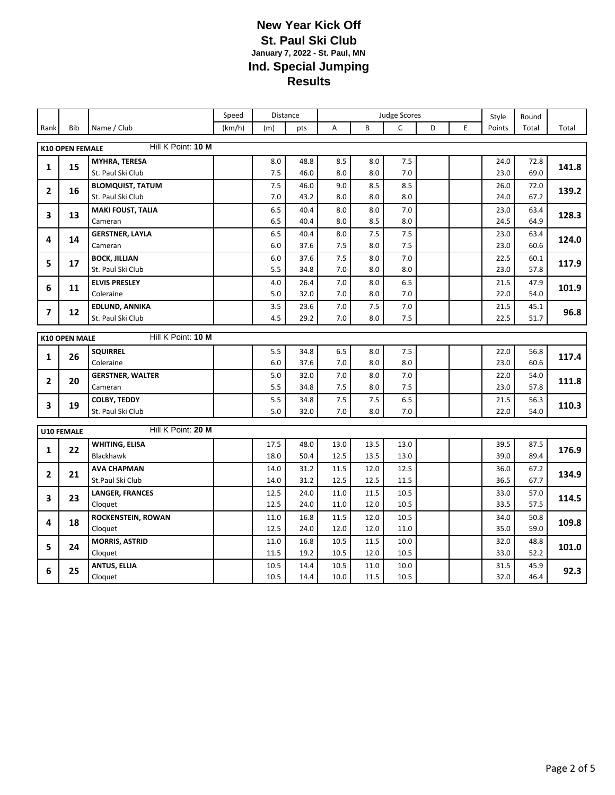|                                            |                        |                                | Speed  |              | Distance     | <b>Judge Scores</b> |              |              |   | Style | Round        |              |       |
|--------------------------------------------|------------------------|--------------------------------|--------|--------------|--------------|---------------------|--------------|--------------|---|-------|--------------|--------------|-------|
| Rank                                       | Bib                    | Name / Club                    | (km/h) | (m)          | pts          | A                   | B            | $\mathsf C$  | D | E.    | Points       | Total        | Total |
|                                            | <b>K10 OPEN FEMALE</b> | Hill K Point: 10 M             |        |              |              |                     |              |              |   |       |              |              |       |
|                                            |                        | MYHRA, TERESA                  |        | 8.0          | 48.8         | 8.5                 | 8.0          | $7.5$        |   |       | 24.0         | 72.8         |       |
| 1                                          | 15                     | St. Paul Ski Club              |        | $7.5$        | 46.0         | 8.0                 | 8.0          | 7.0          |   |       | 23.0         | 69.0         | 141.8 |
|                                            |                        | <b>BLOMQUIST, TATUM</b>        |        | 7.5          | 46.0         | 9.0                 | 8.5          | 8.5          |   |       | 26.0         | 72.0         |       |
| $\mathbf{2}$                               | 16                     | St. Paul Ski Club              |        | 7.0          | 43.2         | 8.0                 | 8.0          | 8.0          |   |       | 24.0         | 67.2         | 139.2 |
|                                            |                        | <b>MAKI FOUST, TALIA</b>       |        | 6.5          | 40.4         | 8.0                 | 8.0          | 7.0          |   |       | 23.0         | 63.4         |       |
| 3                                          | 13                     | Cameran                        |        | 6.5          | 40.4         | 8.0                 | 8.5          | 8.0          |   |       | 24.5         | 64.9         | 128.3 |
| 4                                          | 14                     | <b>GERSTNER, LAYLA</b>         |        | 6.5          | 40.4         | 8.0                 | 7.5          | 7.5          |   |       | 23.0         | 63.4         | 124.0 |
|                                            |                        | Cameran                        |        | 6.0          | 37.6         | 7.5                 | 8.0          | 7.5          |   |       | 23.0         | 60.6         |       |
| 5                                          | 17                     | <b>BOCK, JILLIAN</b>           |        | 6.0          | 37.6         | 7.5                 | 8.0          | 7.0          |   |       | 22.5         | 60.1         | 117.9 |
|                                            |                        | St. Paul Ski Club              |        | 5.5          | 34.8         | 7.0                 | 8.0          | 8.0          |   |       | 23.0         | 57.8         |       |
| 6                                          | 11                     | <b>ELVIS PRESLEY</b>           |        | 4.0          | 26.4         | 7.0                 | 8.0          | 6.5          |   |       | 21.5         | 47.9         | 101.9 |
|                                            |                        | Coleraine                      |        | 5.0          | 32.0         | 7.0                 | 8.0          | 7.0          |   |       | 22.0         | 54.0         |       |
| 7                                          | 12                     | <b>EDLUND, ANNIKA</b>          |        | 3.5          | 23.6         | 7.0                 | 7.5          | 7.0          |   |       | 21.5         | 45.1         | 96.8  |
|                                            |                        | St. Paul Ski Club              |        | 4.5          | 29.2         | 7.0                 | 8.0          | 7.5          |   |       | 22.5         | 51.7         |       |
| Hill K Point: 10 M<br><b>K10 OPEN MALE</b> |                        |                                |        |              |              |                     |              |              |   |       |              |              |       |
|                                            | 26                     | <b>SQUIRREL</b>                |        | 5.5          | 34.8         | 6.5                 | 8.0          | 7.5          |   |       | 22.0         | 56.8         |       |
| 1                                          |                        | Coleraine                      |        | 6.0          | 37.6         | 7.0                 | 8.0          | 8.0          |   |       | 23.0         | 60.6         | 117.4 |
| $\overline{2}$                             | 20                     | <b>GERSTNER, WALTER</b>        |        | 5.0          | 32.0         | 7.0                 | 8.0          | 7.0          |   |       | 22.0         | 54.0         | 111.8 |
|                                            |                        | Cameran                        |        | 5.5          | 34.8         | 7.5                 | 8.0          | 7.5          |   |       | 23.0         | 57.8         |       |
| 3                                          | 19                     | <b>COLBY, TEDDY</b>            |        | 5.5          | 34.8         | 7.5                 | 7.5          | 6.5          |   |       | 21.5         | 56.3         | 110.3 |
|                                            |                        | St. Paul Ski Club              |        | 5.0          | 32.0         | 7.0                 | 8.0          | 7.0          |   |       | 22.0         | 54.0         |       |
|                                            | <b>U10 FEMALE</b>      | Hill K Point: 20 M             |        |              |              |                     |              |              |   |       |              |              |       |
|                                            |                        | <b>WHITING, ELISA</b>          |        | 17.5         | 48.0         | 13.0                | 13.5         | 13.0         |   |       | 39.5         | 87.5         |       |
| $\mathbf{1}$                               | 22                     | Blackhawk                      |        | 18.0         | 50.4         | 12.5                | 13.5         | 13.0         |   |       | 39.0         | 89.4         | 176.9 |
| $\overline{2}$                             | 21                     | <b>AVA CHAPMAN</b>             |        | 14.0         | 31.2         | 11.5                | 12.0         | 12.5         |   |       | 36.0         | 67.2         | 134.9 |
|                                            |                        | St.Paul Ski Club               |        | 14.0         | 31.2         | 12.5                | 12.5         | 11.5         |   |       | 36.5         | 67.7         |       |
| 3                                          | 23                     | <b>LANGER, FRANCES</b>         |        | 12.5         | 24.0         | 11.0                | 11.5         | 10.5         |   |       | 33.0         | 57.0         | 114.5 |
|                                            |                        | Cloquet                        |        | 12.5         | 24.0         | 11.0                | 12.0         | 10.5         |   |       | 33.5         | 57.5         |       |
| 4                                          | 18                     | ROCKENSTEIN, ROWAN             |        | 11.0         | 16.8         | 11.5                | 12.0         | 10.5         |   |       | 34.0         | 50.8         | 109.8 |
|                                            |                        | Cloquet                        |        | 12.5         | 24.0         | 12.0                | 12.0         | 11.0         |   |       | 35.0         | 59.0         |       |
| 5                                          | 24                     | <b>MORRIS, ASTRID</b>          |        | 11.0         | 16.8         | 10.5                | 11.5         | 10.0         |   |       | 32.0         | 48.8         | 101.0 |
|                                            |                        | Cloquet                        |        | 11.5         | 19.2         | 10.5                | 12.0         | 10.5         |   |       | 33.0         | 52.2         |       |
| 6                                          | 25                     | <b>ANTUS, ELLIA</b><br>Cloquet |        | 10.5<br>10.5 | 14.4<br>14.4 | 10.5<br>10.0        | 11.0<br>11.5 | 10.0<br>10.5 |   |       | 31.5<br>32.0 | 45.9<br>46.4 | 92.3  |
|                                            |                        |                                |        |              |              |                     |              |              |   |       |              |              |       |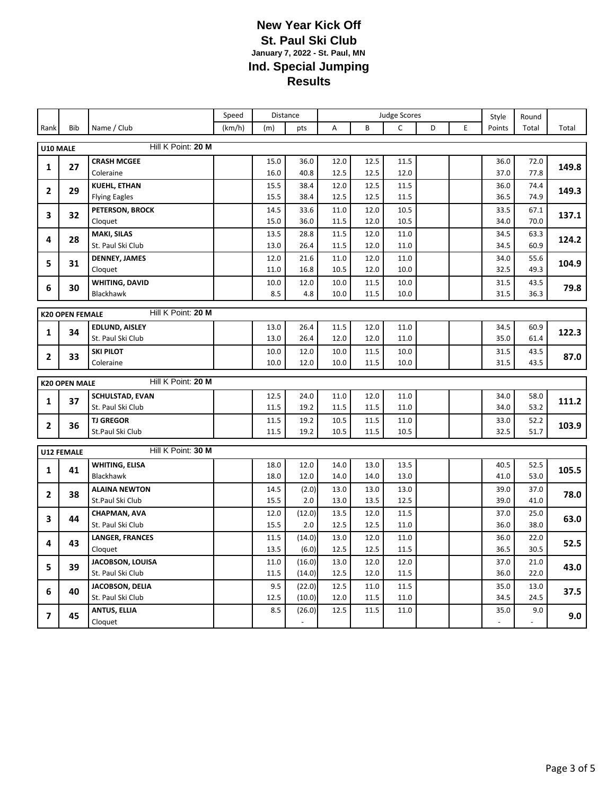|                |                        |                                      | Speed  |              | Distance                 |              | <b>Judge Scores</b> |              |   |   | Style        | Round        |       |
|----------------|------------------------|--------------------------------------|--------|--------------|--------------------------|--------------|---------------------|--------------|---|---|--------------|--------------|-------|
| Rank           | <b>Bib</b>             | Name / Club                          | (km/h) | (m)          | pts                      | A            | B                   | C            | D | E | Points       | Total        | Total |
| U10 MALE       |                        | Hill K Point: 20 M                   |        |              |                          |              |                     |              |   |   |              |              |       |
|                |                        | <b>CRASH MCGEE</b>                   |        | 15.0         | 36.0                     | 12.0         | 12.5                | 11.5         |   |   | 36.0         | 72.0         |       |
| $\mathbf{1}$   | 27                     | Coleraine                            |        | 16.0         | 40.8                     | 12.5         | 12.5                | 12.0         |   |   | 37.0         | 77.8         | 149.8 |
|                |                        | <b>KUEHL, ETHAN</b>                  |        | 15.5         | 38.4                     | 12.0         | 12.5                | 11.5         |   |   | 36.0         | 74.4         |       |
| $\overline{2}$ | 29                     | <b>Flying Eagles</b>                 |        | 15.5         | 38.4                     | 12.5         | 12.5                | 11.5         |   |   | 36.5         | 74.9         | 149.3 |
|                |                        | PETERSON, BROCK                      |        | 14.5         | 33.6                     | 11.0         | 12.0                | 10.5         |   |   | 33.5         | 67.1         |       |
| 3              | 32                     | Cloquet                              |        | 15.0         | 36.0                     | 11.5         | 12.0                | 10.5         |   |   | 34.0         | 70.0         | 137.1 |
| 4              | 28                     | <b>MAKI, SILAS</b>                   |        | 13.5         | 28.8                     | 11.5         | 12.0                | 11.0         |   |   | 34.5         | 63.3         | 124.2 |
|                |                        | St. Paul Ski Club                    |        | 13.0         | 26.4                     | 11.5         | 12.0                | 11.0         |   |   | 34.5         | 60.9         |       |
| 5              | 31                     | <b>DENNEY, JAMES</b>                 |        | 12.0         | 21.6                     | 11.0         | 12.0                | 11.0         |   |   | 34.0         | 55.6         | 104.9 |
|                |                        | Cloquet                              |        | 11.0         | 16.8                     | 10.5         | 12.0                | 10.0         |   |   | 32.5         | 49.3         |       |
| 6              | 30                     | <b>WHITING, DAVID</b>                |        | 10.0         | 12.0                     | 10.0         | 11.5                | 10.0         |   |   | 31.5         | 43.5         | 79.8  |
|                |                        | Blackhawk                            |        | 8.5          | 4.8                      | 10.0         | 11.5                | 10.0         |   |   | 31.5         | 36.3         |       |
|                | <b>K20 OPEN FEMALE</b> | Hill K Point: 20 M                   |        |              |                          |              |                     |              |   |   |              |              |       |
|                |                        | <b>EDLUND, AISLEY</b>                |        | 13.0         | 26.4                     | 11.5         | 12.0                | 11.0         |   |   | 34.5         | 60.9         |       |
| 1              | 34                     | St. Paul Ski Club                    |        | 13.0         | 26.4                     | 12.0         | 12.0                | 11.0         |   |   | 35.0         | 61.4         | 122.3 |
|                | 33                     | <b>SKI PILOT</b>                     |        | 10.0         | 12.0                     | 10.0         | 11.5                | 10.0         |   |   | 31.5         | 43.5         |       |
| $\mathbf{2}$   |                        | Coleraine                            |        | 10.0         | 12.0                     | 10.0         | 11.5                | 10.0         |   |   | 31.5         | 43.5         | 87.0  |
|                | Hill K Point: 20 M     |                                      |        |              |                          |              |                     |              |   |   |              |              |       |
|                | <b>K20 OPEN MALE</b>   |                                      |        |              |                          |              |                     |              |   |   |              |              |       |
| 1              | 37                     | SCHULSTAD, EVAN<br>St. Paul Ski Club |        | 12.5<br>11.5 | 24.0<br>19.2             | 11.0<br>11.5 | 12.0<br>11.5        | 11.0<br>11.0 |   |   | 34.0<br>34.0 | 58.0<br>53.2 | 111.2 |
|                |                        | <b>TJ GREGOR</b>                     |        | 11.5         | 19.2                     | 10.5         | 11.5                | 11.0         |   |   | 33.0         | 52.2         |       |
| $\mathbf{2}$   | 36                     | St.Paul Ski Club                     |        | 11.5         | 19.2                     | 10.5         | 11.5                | 10.5         |   |   | 32.5         | 51.7         | 103.9 |
|                |                        |                                      |        |              |                          |              |                     |              |   |   |              |              |       |
|                | <b>U12 FEMALE</b>      | Hill K Point: 30 M                   |        |              |                          |              |                     |              |   |   |              |              |       |
| 1              | 41                     | <b>WHITING, ELISA</b>                |        | 18.0         | 12.0                     | 14.0         | 13.0                | 13.5         |   |   | 40.5         | 52.5         | 105.5 |
|                |                        | <b>Blackhawk</b>                     |        | 18.0         | 12.0                     | 14.0         | 14.0                | 13.0         |   |   | 41.0         | 53.0         |       |
| $\mathbf{2}$   | 38                     | <b>ALAINA NEWTON</b>                 |        | 14.5         | (2.0)                    | 13.0         | 13.0                | 13.0         |   |   | 39.0         | 37.0         | 78.0  |
|                |                        | St.Paul Ski Club                     |        | 15.5         | 2.0                      | 13.0         | 13.5                | 12.5         |   |   | 39.0         | 41.0         |       |
| 3              | 44                     | CHAPMAN, AVA<br>St. Paul Ski Club    |        | 12.0<br>15.5 | (12.0)<br>2.0            | 13.5<br>12.5 | 12.0<br>12.5        | 11.5<br>11.0 |   |   | 37.0<br>36.0 | 25.0<br>38.0 | 63.0  |
|                |                        | <b>LANGER, FRANCES</b>               |        | 11.5         | (14.0)                   | 13.0         | 12.0                | 11.0         |   |   | 36.0         | 22.0         |       |
| 4              | 43                     | Cloquet                              |        | 13.5         | (6.0)                    | 12.5         | 12.5                | 11.5         |   |   | 36.5         | 30.5         | 52.5  |
|                |                        | JACOBSON, LOUISA                     |        | 11.0         | (16.0)                   | 13.0         | 12.0                | 12.0         |   |   | 37.0         | 21.0         |       |
| 5              | 39                     | St. Paul Ski Club                    |        | 11.5         | (14.0)                   | 12.5         | 12.0                | 11.5         |   |   | 36.0         | 22.0         | 43.0  |
|                |                        | JACOBSON, DELIA                      |        | 9.5          | (22.0)                   | 12.5         | 11.0                | 11.5         |   |   | 35.0         | 13.0         |       |
| 6              | 40                     | St. Paul Ski Club                    |        | 12.5         | (10.0)                   | 12.0         | 11.5                | 11.0         |   |   | 34.5         | 24.5         | 37.5  |
|                |                        | <b>ANTUS, ELLIA</b>                  |        | 8.5          | (26.0)                   | 12.5         | 11.5                | 11.0         |   |   | 35.0         | 9.0          |       |
| $\overline{7}$ | 45                     | Cloquet                              |        |              | $\overline{\phantom{a}}$ |              |                     |              |   |   |              |              | 9.0   |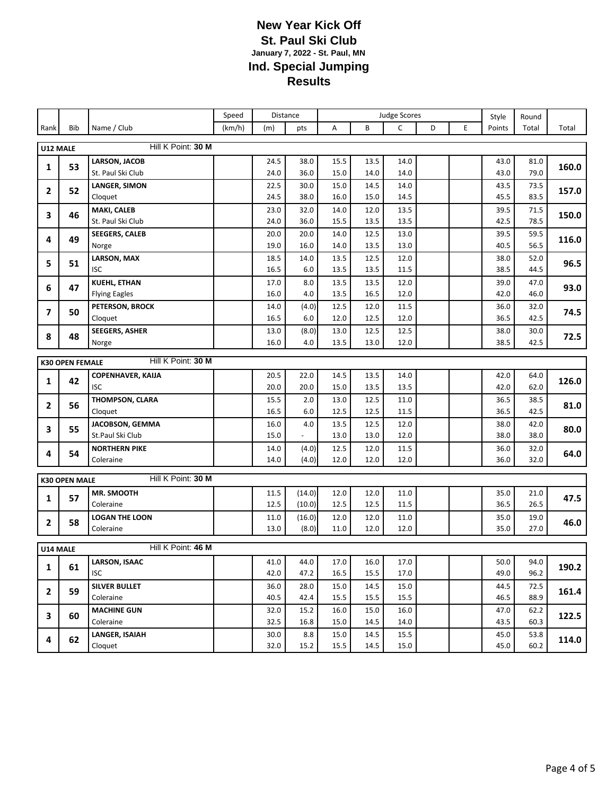|                                              |                      |                                | Speed  |              | Distance                 |              |              | <b>Judge Scores</b> |   |   | Style        | Round        |       |
|----------------------------------------------|----------------------|--------------------------------|--------|--------------|--------------------------|--------------|--------------|---------------------|---|---|--------------|--------------|-------|
| Rank                                         | Bib                  | Name / Club                    | (km/h) | (m)          | pts                      | Α            | B            | $\mathsf{C}$        | D | E | Points       | Total        | Total |
| U12 MALE                                     |                      | Hill K Point: 30 M             |        |              |                          |              |              |                     |   |   |              |              |       |
|                                              | 53                   | <b>LARSON, JACOB</b>           |        | 24.5         | 38.0                     | 15.5         | 13.5         | 14.0                |   |   | 43.0         | 81.0         | 160.0 |
| 1                                            |                      | St. Paul Ski Club              |        | 24.0         | 36.0                     | 15.0         | 14.0         | 14.0                |   |   | 43.0         | 79.0         |       |
| $\mathbf{2}$                                 | 52                   | <b>LANGER, SIMON</b>           |        | 22.5         | 30.0                     | 15.0         | 14.5         | 14.0                |   |   | 43.5         | 73.5         | 157.0 |
|                                              |                      | Cloquet                        |        | 24.5         | 38.0                     | 16.0         | 15.0         | 14.5                |   |   | 45.5         | 83.5         |       |
| 3                                            | 46                   | MAKI, CALEB                    |        | 23.0         | 32.0                     | 14.0         | 12.0         | 13.5                |   |   | 39.5         | 71.5         | 150.0 |
|                                              |                      | St. Paul Ski Club              |        | 24.0         | 36.0                     | 15.5         | 13.5         | 13.5                |   |   | 42.5         | 78.5         |       |
| 4                                            | 49                   | <b>SEEGERS, CALEB</b><br>Norge |        | 20.0<br>19.0 | 20.0<br>16.0             | 14.0<br>14.0 | 12.5<br>13.5 | 13.0<br>13.0        |   |   | 39.5<br>40.5 | 59.5<br>56.5 | 116.0 |
|                                              |                      | <b>LARSON, MAX</b>             |        | 18.5         | 14.0                     | 13.5         | 12.5         | 12.0                |   |   | 38.0         | 52.0         |       |
| 5                                            | 51                   | <b>ISC</b>                     |        | 16.5         | 6.0                      | 13.5         | 13.5         | 11.5                |   |   | 38.5         | 44.5         | 96.5  |
|                                              |                      | <b>KUEHL, ETHAN</b>            |        | 17.0         | 8.0                      | 13.5         | 13.5         | 12.0                |   |   | 39.0         | 47.0         |       |
| 6                                            | 47                   | <b>Flying Eagles</b>           |        | 16.0         | 4.0                      | 13.5         | 16.5         | 12.0                |   |   | 42.0         | 46.0         | 93.0  |
|                                              |                      | PETERSON, BROCK                |        | 14.0         | (4.0)                    | 12.5         | 12.0         | 11.5                |   |   | 36.0         | 32.0         |       |
| $\overline{ }$                               | 50                   | Cloquet                        |        | 16.5         | 6.0                      | 12.0         | 12.5         | 12.0                |   |   | 36.5         | 42.5         | 74.5  |
| 8                                            | 48                   | <b>SEEGERS, ASHER</b>          |        | 13.0         | (8.0)                    | 13.0         | 12.5         | 12.5                |   |   | 38.0         | 30.0         | 72.5  |
|                                              |                      | Norge                          |        | 16.0         | 4.0                      | 13.5         | 13.0         | 12.0                |   |   | 38.5         | 42.5         |       |
| Hill K Point: 30 M<br><b>K30 OPEN FEMALE</b> |                      |                                |        |              |                          |              |              |                     |   |   |              |              |       |
|                                              |                      | <b>COPENHAVER, KAIJA</b>       |        | 20.5         | 22.0                     | 14.5         | 13.5         | 14.0                |   |   | 42.0         | 64.0         |       |
| 1                                            | 42                   | <b>ISC</b>                     |        | 20.0         | 20.0                     | 15.0         | 13.5         | 13.5                |   |   | 42.0         | 62.0         | 126.0 |
|                                              |                      | THOMPSON, CLARA                |        | 15.5         | 2.0                      | 13.0         | 12.5         | 11.0                |   |   | 36.5         | 38.5         |       |
| 2                                            | 56                   | Cloquet                        |        | 16.5         | 6.0                      | 12.5         | 12.5         | 11.5                |   |   | 36.5         | 42.5         | 81.0  |
| 3                                            | 55                   | JACOBSON, GEMMA                |        | 16.0         | 4.0                      | 13.5         | 12.5         | 12.0                |   |   | 38.0         | 42.0         | 80.0  |
|                                              |                      | St.Paul Ski Club               |        | 15.0         | $\overline{\phantom{a}}$ | 13.0         | 13.0         | 12.0                |   |   | 38.0         | 38.0         |       |
| 4                                            | 54                   | <b>NORTHERN PIKE</b>           |        | 14.0         | (4.0)                    | 12.5         | 12.0         | 11.5                |   |   | 36.0         | 32.0         | 64.0  |
|                                              |                      | Coleraine                      |        | 14.0         | (4.0)                    | 12.0         | 12.0         | 12.0                |   |   | 36.0         | 32.0         |       |
|                                              | <b>K30 OPEN MALE</b> | Hill K Point: 30 M             |        |              |                          |              |              |                     |   |   |              |              |       |
|                                              |                      | <b>MR. SMOOTH</b>              |        | 11.5         | (14.0)                   | 12.0         | 12.0         | 11.0                |   |   | 35.0         | 21.0         |       |
| 1                                            | 57                   | Coleraine                      |        | 12.5         | (10.0)                   | 12.5         | 12.5         | 11.5                |   |   | 36.5         | 26.5         | 47.5  |
| $\mathbf{2}$                                 | 58                   | <b>LOGAN THE LOON</b>          |        | 11.0         | (16.0)                   | 12.0         | 12.0         | 11.0                |   |   | 35.0         | 19.0         | 46.0  |
|                                              |                      | Coleraine                      |        | 13.0         | (8.0)                    | $11.0\,$     | 12.0         | 12.0                |   |   | 35.0         | 27.0         |       |
| U14 MALE                                     |                      | Hill K Point: 46 M             |        |              |                          |              |              |                     |   |   |              |              |       |
|                                              |                      | <b>LARSON, ISAAC</b>           |        | 41.0         | 44.0                     | 17.0         | 16.0         | 17.0                |   |   | 50.0         | 94.0         |       |
| 1                                            | 61                   | <b>ISC</b>                     |        | 42.0         | 47.2                     | 16.5         | 15.5         | 17.0                |   |   | 49.0         | 96.2         | 190.2 |
|                                              |                      | <b>SILVER BULLET</b>           |        | 36.0         | 28.0                     | 15.0         | 14.5         | 15.0                |   |   | 44.5         | 72.5         |       |
| $\overline{2}$                               | 59                   | Coleraine                      |        | 40.5         | 42.4                     | 15.5         | 15.5         | 15.5                |   |   | 46.5         | 88.9         | 161.4 |
| 3                                            | 60                   | <b>MACHINE GUN</b>             |        | 32.0         | 15.2                     | 16.0         | 15.0         | 16.0                |   |   | 47.0         | 62.2         | 122.5 |
|                                              |                      | Coleraine                      |        | 32.5         | 16.8                     | 15.0         | 14.5         | 14.0                |   |   | 43.5         | 60.3         |       |
| 4                                            | 62                   | <b>LANGER, ISAIAH</b>          |        | 30.0         | 8.8                      | 15.0         | 14.5         | 15.5                |   |   | 45.0         | 53.8         | 114.0 |
|                                              |                      | Cloquet                        |        | 32.0         | 15.2                     | 15.5         | 14.5         | 15.0                |   |   | 45.0         | 60.2         |       |